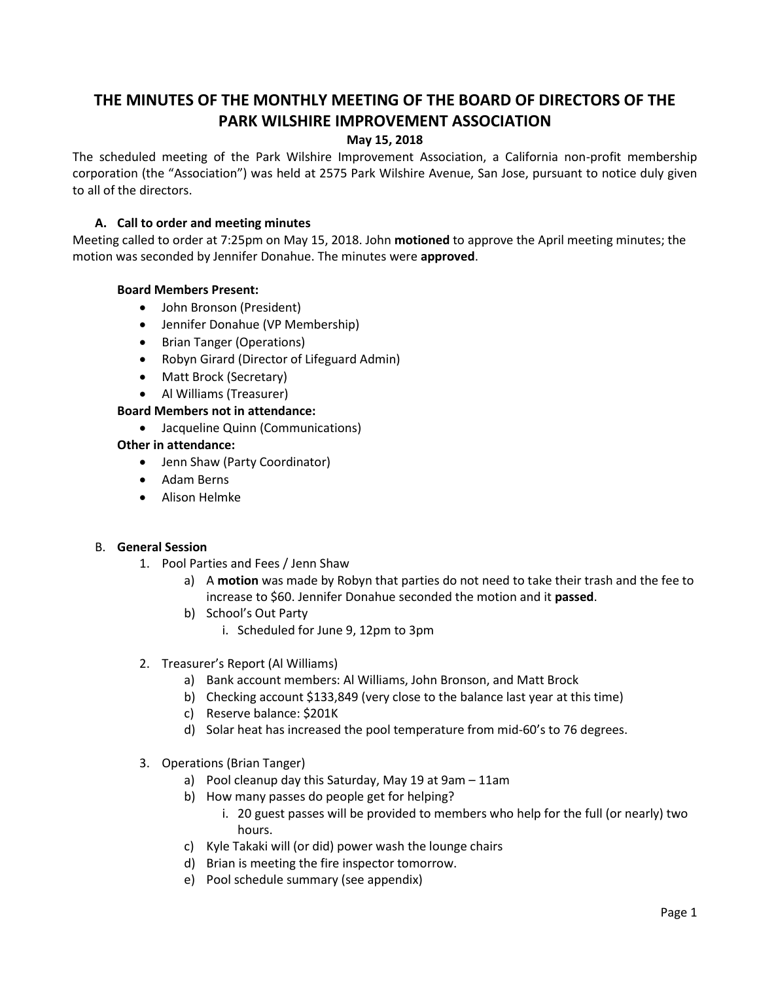# **THE MINUTES OF THE MONTHLY MEETING OF THE BOARD OF DIRECTORS OF THE PARK WILSHIRE IMPROVEMENT ASSOCIATION**

# **May 15, 2018**

The scheduled meeting of the Park Wilshire Improvement Association, a California non-profit membership corporation (the "Association") was held at 2575 Park Wilshire Avenue, San Jose, pursuant to notice duly given to all of the directors.

# **A. Call to order and meeting minutes**

Meeting called to order at 7:25pm on May 15, 2018. John **motioned** to approve the April meeting minutes; the motion was seconded by Jennifer Donahue. The minutes were **approved**.

## **Board Members Present:**

- John Bronson (President)
- Jennifer Donahue (VP Membership)
- Brian Tanger (Operations)
- Robyn Girard (Director of Lifeguard Admin)
- Matt Brock (Secretary)
- Al Williams (Treasurer)

## **Board Members not in attendance:**

Jacqueline Quinn (Communications)

## **Other in attendance:**

- Jenn Shaw (Party Coordinator)
- Adam Berns
- Alison Helmke

## B. **General Session**

- 1. Pool Parties and Fees / Jenn Shaw
	- a) A **motion** was made by Robyn that parties do not need to take their trash and the fee to increase to \$60. Jennifer Donahue seconded the motion and it **passed**.
	- b) School's Out Party i. Scheduled for June 9, 12pm to 3pm
- 2. Treasurer's Report (Al Williams)
	- a) Bank account members: Al Williams, John Bronson, and Matt Brock
	- b) Checking account \$133,849 (very close to the balance last year at this time)
	- c) Reserve balance: \$201K
	- d) Solar heat has increased the pool temperature from mid-60's to 76 degrees.
- 3. Operations (Brian Tanger)
	- a) Pool cleanup day this Saturday, May 19 at 9am 11am
	- b) How many passes do people get for helping?
		- i. 20 guest passes will be provided to members who help for the full (or nearly) two hours.
	- c) Kyle Takaki will (or did) power wash the lounge chairs
	- d) Brian is meeting the fire inspector tomorrow.
	- e) Pool schedule summary (see appendix)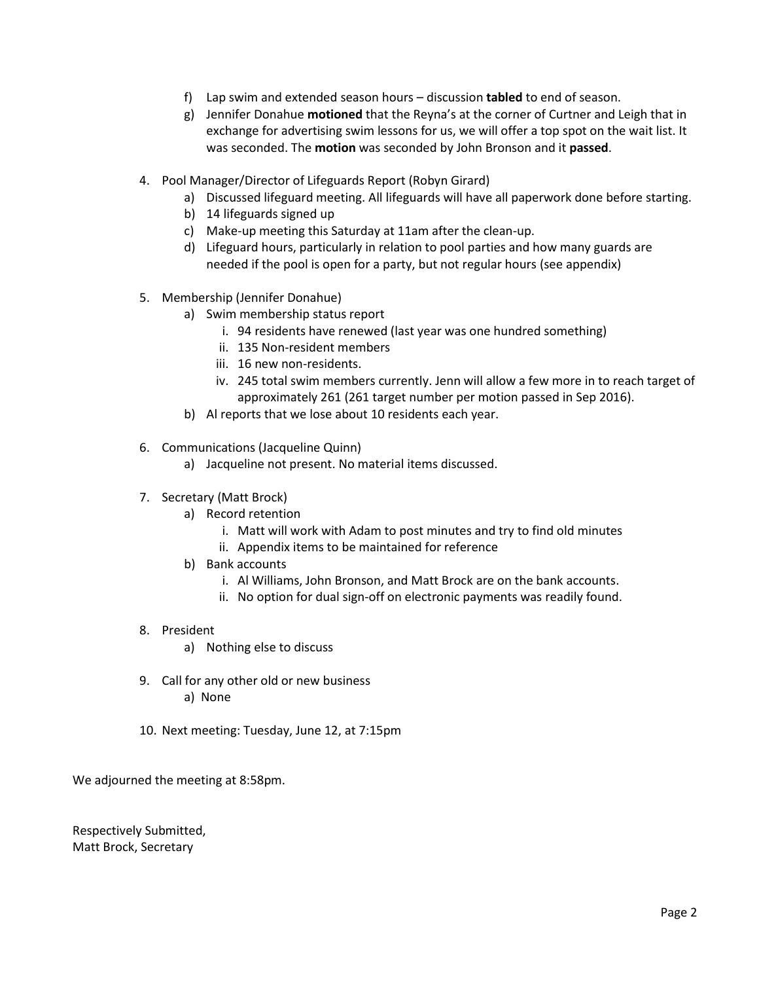- f) Lap swim and extended season hours discussion **tabled** to end of season.
- g) Jennifer Donahue **motioned** that the Reyna's at the corner of Curtner and Leigh that in exchange for advertising swim lessons for us, we will offer a top spot on the wait list. It was seconded. The **motion** was seconded by John Bronson and it **passed**.
- 4. Pool Manager/Director of Lifeguards Report (Robyn Girard)
	- a) Discussed lifeguard meeting. All lifeguards will have all paperwork done before starting.
	- b) 14 lifeguards signed up
	- c) Make-up meeting this Saturday at 11am after the clean-up.
	- d) Lifeguard hours, particularly in relation to pool parties and how many guards are needed if the pool is open for a party, but not regular hours (see appendix)
- 5. Membership (Jennifer Donahue)
	- a) Swim membership status report
		- i. 94 residents have renewed (last year was one hundred something)
		- ii. 135 Non-resident members
		- iii. 16 new non-residents.
		- iv. 245 total swim members currently. Jenn will allow a few more in to reach target of approximately 261 (261 target number per motion passed in Sep 2016).
	- b) Al reports that we lose about 10 residents each year.
- 6. Communications (Jacqueline Quinn)
	- a) Jacqueline not present. No material items discussed.
- 7. Secretary (Matt Brock)
	- a) Record retention
		- i. Matt will work with Adam to post minutes and try to find old minutes
		- ii. Appendix items to be maintained for reference
	- b) Bank accounts
		- i. Al Williams, John Bronson, and Matt Brock are on the bank accounts.
		- ii. No option for dual sign-off on electronic payments was readily found.
- 8. President
	- a) Nothing else to discuss
- 9. Call for any other old or new business a) None
- 10. Next meeting: Tuesday, June 12, at 7:15pm

We adjourned the meeting at 8:58pm.

Respectively Submitted, Matt Brock, Secretary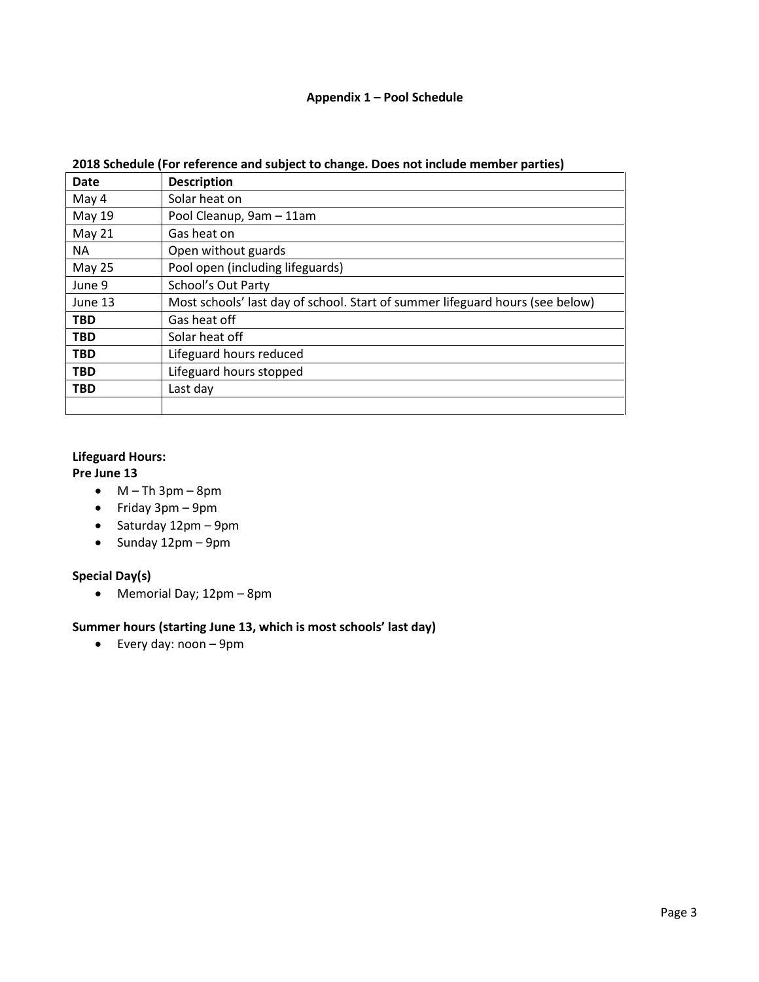# **Appendix 1 – Pool Schedule**

| <b>Date</b>   | <b>Description</b>                                                            |
|---------------|-------------------------------------------------------------------------------|
| May 4         | Solar heat on                                                                 |
| May 19        | Pool Cleanup, 9am - 11am                                                      |
| May 21        | Gas heat on                                                                   |
| <b>NA</b>     | Open without guards                                                           |
| <b>May 25</b> | Pool open (including lifeguards)                                              |
| June 9        | <b>School's Out Party</b>                                                     |
| June 13       | Most schools' last day of school. Start of summer lifeguard hours (see below) |
| <b>TBD</b>    | Gas heat off                                                                  |
| <b>TBD</b>    | Solar heat off                                                                |
| <b>TBD</b>    | Lifeguard hours reduced                                                       |
| <b>TBD</b>    | Lifeguard hours stopped                                                       |
| <b>TBD</b>    | Last day                                                                      |
|               |                                                                               |

# **2018 Schedule (For reference and subject to change. Does not include member parties)**

# **Lifeguard Hours:**

# **Pre June 13**

- $\bullet$  M Th 3pm 8pm
- Friday 3pm 9pm
- $\bullet$  Saturday 12pm 9pm
- $\bullet$  Sunday 12pm 9pm

## **Special Day(s)**

Memorial Day; 12pm – 8pm

# **Summer hours (starting June 13, which is most schools' last day)**

Every day: noon – 9pm